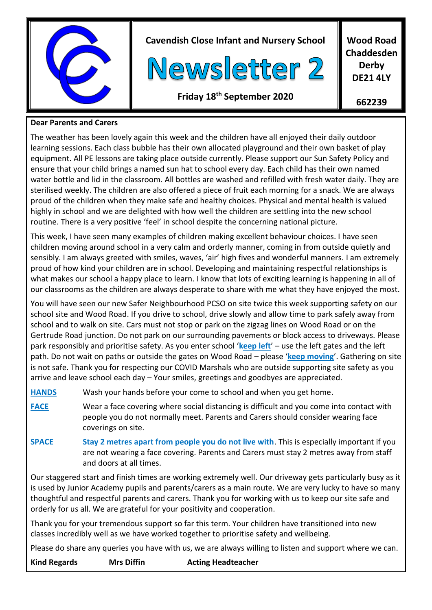

#### **Dear Parents and Carers**

The weather has been lovely again this week and the children have all enjoyed their daily outdoor learning sessions. Each class bubble has their own allocated playground and their own basket of play equipment. All PE lessons are taking place outside currently. Please support our Sun Safety Policy and ensure that your child brings a named sun hat to school every day. Each child has their own named water bottle and lid in the classroom. All bottles are washed and refilled with fresh water daily. They are sterilised weekly. The children are also offered a piece of fruit each morning for a snack. We are always proud of the children when they make safe and healthy choices. Physical and mental health is valued highly in school and we are delighted with how well the children are settling into the new school routine. There is a very positive 'feel' in school despite the concerning national picture.

This week, I have seen many examples of children making excellent behaviour choices. I have seen children moving around school in a very calm and orderly manner, coming in from outside quietly and sensibly. I am always greeted with smiles, waves, 'air' high fives and wonderful manners. I am extremely proud of how kind your children are in school. Developing and maintaining respectful relationships is what makes our school a happy place to learn. I know that lots of exciting learning is happening in all of our classrooms as the children are always desperate to share with me what they have enjoyed the most.

You will have seen our new Safer Neighbourhood PCSO on site twice this week supporting safety on our school site and Wood Road. If you drive to school, drive slowly and allow time to park safely away from school and to walk on site. Cars must not stop or park on the zigzag lines on Wood Road or on the Gertrude Road junction. Do not park on our surrounding pavements or block access to driveways. Please park responsibly and prioritise safety. As you enter school '**keep left**' – use the left gates and the left path. Do not wait on paths or outside the gates on Wood Road – please '**keep moving**'. Gathering on site is not safe. Thank you for respecting our COVID Marshals who are outside supporting site safety as you arrive and leave school each day – Your smiles, greetings and goodbyes are appreciated.

**HANDS** Wash your hands before your come to school and when you get home.

- **FACE** Wear a face covering where social distancing is difficult and you come into contact with people you do not normally meet. Parents and Carers should consider wearing face coverings on site.
- **SPACE Stay 2 metres apart from people you do not live with**. This is especially important if you are not wearing a face covering. Parents and Carers must stay 2 metres away from staff and doors at all times.

Our staggered start and finish times are working extremely well. Our driveway gets particularly busy as it is used by Junior Academy pupils and parents/carers as a main route. We are very lucky to have so many thoughtful and respectful parents and carers. Thank you for working with us to keep our site safe and orderly for us all. We are grateful for your positivity and cooperation.

Thank you for your tremendous support so far this term. Your children have transitioned into new classes incredibly well as we have worked together to prioritise safety and wellbeing.

Please do share any queries you have with us, we are always willing to listen and support where we can.

- 
- **Kind Regards Mrs Diffin Acting Headteacher**